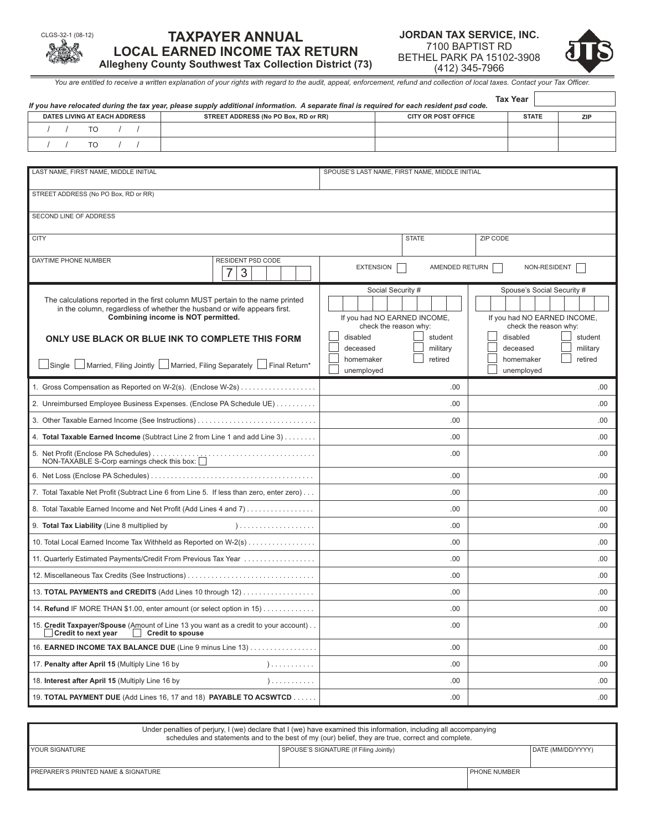# **TAXPAYER ANNUAL LOCAL EARNED INCOME TAX RETURN Allegheny County Southwest Tax Collection District (73)**

| JORDAN TAX SERVICE. INC.  |
|---------------------------|
| 7100 BAPTIST RD           |
| BETHEL PARK PA 15102-3908 |
| (412) 345-7966            |



*You are entitled to receive a written explanation of your rights with regard to the audit, appeal, enforcement, refund and collection of local taxes. Contact your Tax Officer.*

|                                                             | If you have relocated during the tax year, please supply additional information. A separate final is required for each resident psd code.                 |                       |                                                       | <b>Tax Year</b>       |                       |                              |
|-------------------------------------------------------------|-----------------------------------------------------------------------------------------------------------------------------------------------------------|-----------------------|-------------------------------------------------------|-----------------------|-----------------------|------------------------------|
| DATES LIVING AT EACH ADDRESS                                | STREET ADDRESS (No PO Box, RD or RR)                                                                                                                      |                       | <b>CITY OR POST OFFICE</b>                            |                       | <b>STATE</b>          | <b>ZIP</b>                   |
| $\prime$<br>$\prime$<br><b>TO</b><br>$\prime$<br>$\sqrt{ }$ |                                                                                                                                                           |                       |                                                       |                       |                       |                              |
| <b>TO</b>                                                   |                                                                                                                                                           |                       |                                                       |                       |                       |                              |
|                                                             |                                                                                                                                                           |                       |                                                       |                       |                       |                              |
| LAST NAME, FIRST NAME, MIDDLE INITIAL                       |                                                                                                                                                           |                       | SPOUSE'S LAST NAME, FIRST NAME, MIDDLE INITIAL        |                       |                       |                              |
| STREET ADDRESS (No PO Box, RD or RR)                        |                                                                                                                                                           |                       |                                                       |                       |                       |                              |
| <b>SECOND LINE OF ADDRESS</b>                               |                                                                                                                                                           |                       |                                                       |                       |                       |                              |
| <b>CITY</b>                                                 |                                                                                                                                                           |                       | <b>STATE</b>                                          | ZIP CODE              |                       |                              |
| DAYTIME PHONE NUMBER                                        | RESIDENT PSD CODE                                                                                                                                         |                       |                                                       |                       |                       |                              |
|                                                             | 7<br>3                                                                                                                                                    | <b>EXTENSION</b>      | AMENDED RETURN                                        |                       | NON-RESIDENT          |                              |
|                                                             |                                                                                                                                                           |                       | Social Security #                                     |                       |                       | Spouse's Social Security #   |
|                                                             | The calculations reported in the first column MUST pertain to the name printed<br>in the column, regardless of whether the husband or wife appears first. |                       |                                                       |                       |                       |                              |
|                                                             | Combining income is NOT permitted.                                                                                                                        |                       | If you had NO EARNED INCOME,<br>check the reason why: |                       | check the reason why: | If you had NO EARNED INCOME, |
|                                                             | ONLY USE BLACK OR BLUE INK TO COMPLETE THIS FORM                                                                                                          | disabled              | student                                               | disabled              |                       | student                      |
|                                                             |                                                                                                                                                           | deceased<br>homemaker | military<br>retired                                   | deceased<br>homemaker |                       | military<br>retired          |
| Single                                                      | $\Box$ Married, Filing Jointly $\Box$ Married, Filing Separately $\Box$ Final Return*                                                                     | unemployed            |                                                       | unemployed            |                       |                              |
|                                                             | 1. Gross Compensation as Reported on W-2(s). (Enclose W-2s)                                                                                               |                       | .00                                                   |                       |                       | .00                          |
|                                                             | 2. Unreimbursed Employee Business Expenses. (Enclose PA Schedule UE)                                                                                      |                       | .00                                                   |                       |                       | .00.                         |
|                                                             | 3. Other Taxable Earned Income (See Instructions)                                                                                                         |                       | .00                                                   |                       |                       | .00                          |
|                                                             | 4. Total Taxable Earned Income (Subtract Line 2 from Line 1 and add Line 3)                                                                               |                       | .00                                                   |                       |                       | .00.                         |
| NON-TAXABLE S-Corp earnings check this box:                 |                                                                                                                                                           |                       | .00                                                   |                       |                       | .00                          |
|                                                             |                                                                                                                                                           |                       | .00                                                   |                       |                       | .00                          |
|                                                             | 7. Total Taxable Net Profit (Subtract Line 6 from Line 5. If less than zero, enter zero)                                                                  |                       | .00                                                   |                       |                       | .00.                         |
|                                                             | 8. Total Taxable Earned Income and Net Profit (Add Lines 4 and 7)                                                                                         |                       | .00                                                   |                       |                       | .00                          |
| 9. Total Tax Liability (Line 8 multiplied by                |                                                                                                                                                           |                       | .00                                                   |                       |                       | .00                          |
|                                                             | 10. Total Local Earned Income Tax Withheld as Reported on W-2(s)                                                                                          |                       | .00                                                   |                       |                       | .00.                         |
|                                                             | 11. Quarterly Estimated Payments/Credit From Previous Tax Year                                                                                            |                       | .00                                                   |                       |                       | .00.                         |
|                                                             | 12. Miscellaneous Tax Credits (See Instructions)                                                                                                          |                       | .00                                                   |                       |                       | .00.                         |
|                                                             | 13. TOTAL PAYMENTS and CREDITS (Add Lines 10 through 12)                                                                                                  |                       | .00                                                   |                       |                       | .00.                         |
|                                                             | 14. Refund IF MORE THAN \$1.00, enter amount (or select option in 15)                                                                                     |                       | .00                                                   |                       |                       | .00.                         |
| Credit to next year<br>Credit to spouse                     | 15. Credit Taxpayer/Spouse (Amount of Line 13 you want as a credit to your account)                                                                       |                       | .00                                                   |                       |                       | .00.                         |
|                                                             | 16. EARNED INCOME TAX BALANCE DUE (Line 9 minus Line 13)                                                                                                  |                       | .00                                                   |                       |                       | .00.                         |
| 17. Penalty after April 15 (Multiply Line 16 by             | )                                                                                                                                                         |                       | .00                                                   |                       |                       | .00.                         |
| 18. Interest after April 15 (Multiply Line 16 by            | )                                                                                                                                                         |                       | .00                                                   |                       |                       | .00.                         |
|                                                             | 19. TOTAL PAYMENT DUE (Add Lines 16, 17 and 18) PAYABLE TO ACSWTCD                                                                                        |                       | .00                                                   |                       |                       | .00.                         |

| Under penalties of perjury, I (we) declare that I (we) have examined this information, including all accompanying<br>schedules and statements and to the best of my (our) belief, they are true, correct and complete. |                                        |                       |                   |  |  |
|------------------------------------------------------------------------------------------------------------------------------------------------------------------------------------------------------------------------|----------------------------------------|-----------------------|-------------------|--|--|
| YOUR SIGNATURE                                                                                                                                                                                                         | SPOUSE'S SIGNATURE (If Filing Jointly) |                       | DATE (MM/DD/YYYY) |  |  |
| PREPARER'S PRINTED NAME & SIGNATURE                                                                                                                                                                                    |                                        | <b>I PHONE NUMBER</b> |                   |  |  |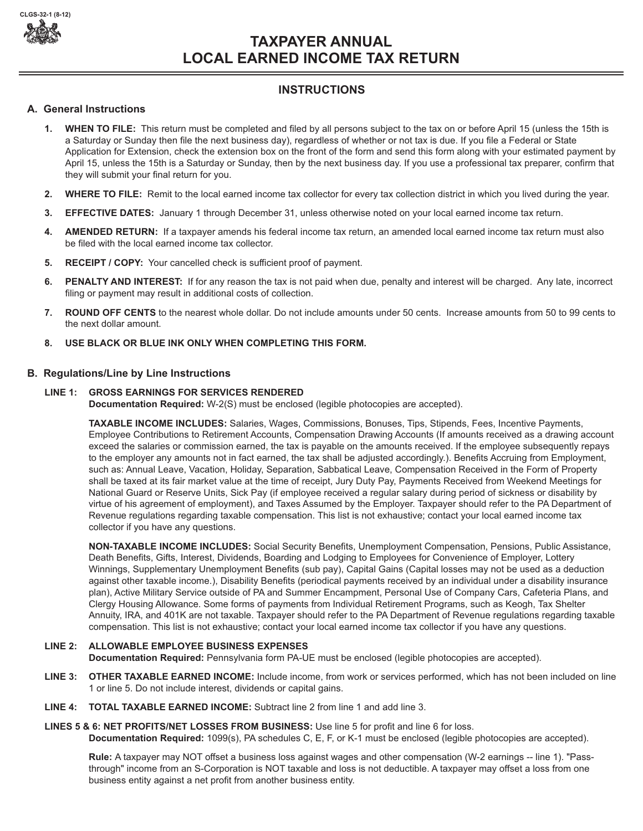

# **TAXPAYER ANNUAL LOCAL EARNED INCOME TAX RETURN**

# **INSTRUCTIONS**

# **A. General Instructions**

- **1. WHEN TO FILE:** This return must be completed and filed by all persons subject to the tax on or before April 15 (unless the 15th is a Saturday or Sunday then file the next business day), regardless of whether or not tax is due. If you file a Federal or State Application for Extension, check the extension box on the front of the form and send this form along with your estimated payment by April 15, unless the 15th is a Saturday or Sunday, then by the next business day. If you use a professional tax preparer, confirm that they will submit your final return for you.
- **2. WHERE TO FILE:** Remit to the local earned income tax collector for every tax collection district in which you lived during the year.
- **3. EFFECTIVE DATES:** January 1 through December 31, unless otherwise noted on your local earned income tax return.
- **4. AMENDED RETURN:** If a taxpayer amends his federal income tax return, an amended local earned income tax return must also be filed with the local earned income tax collector.
- **5. RECEIPT / COPY:** Your cancelled check is sufficient proof of payment.
- **6. PENALTY AND INTEREST:** If for any reason the tax is not paid when due, penalty and interest will be charged. Any late, incorrect filing or payment may result in additional costs of collection.
- **7. ROUND OFF CENTS** to the nearest whole dollar. Do not include amounts under 50 cents. Increase amounts from 50 to 99 cents to the next dollar amount.
- **8. USE BLACK OR BLUE INK ONLY WHEN COMPLETING THIS FORM.**

## **B. Regulations/Line by Line Instructions**

### **LINE 1: GROSS EARNINGS FOR SERVICES RENDERED**

**Documentation Required:** W-2(S) must be enclosed (legible photocopies are accepted).

**TAXABLE INCOME INCLUDES:** Salaries, Wages, Commissions, Bonuses, Tips, Stipends, Fees, Incentive Payments, Employee Contributions to Retirement Accounts, Compensation Drawing Accounts (If amounts received as a drawing account exceed the salaries or commission earned, the tax is payable on the amounts received. If the employee subsequently repays to the employer any amounts not in fact earned, the tax shall be adjusted accordingly.). Benefits Accruing from Employment, such as: Annual Leave, Vacation, Holiday, Separation, Sabbatical Leave, Compensation Received in the Form of Property shall be taxed at its fair market value at the time of receipt, Jury Duty Pay, Payments Received from Weekend Meetings for National Guard or Reserve Units, Sick Pay (if employee received a regular salary during period of sickness or disability by virtue of his agreement of employment), and Taxes Assumed by the Employer. Taxpayer should refer to the PA Department of Revenue regulations regarding taxable compensation. This list is not exhaustive; contact your local earned income tax collector if you have any questions.

**NON-TAXABLE INCOME INCLUDES:** Social Security Benefits, Unemployment Compensation, Pensions, Public Assistance, Death Benefits, Gifts, Interest, Dividends, Boarding and Lodging to Employees for Convenience of Employer, Lottery Winnings, Supplementary Unemployment Benefits (sub pay), Capital Gains (Capital losses may not be used as a deduction against other taxable income.), Disability Benefits (periodical payments received by an individual under a disability insurance plan), Active Military Service outside of PA and Summer Encampment, Personal Use of Company Cars, Cafeteria Plans, and Clergy Housing Allowance. Some forms of payments from Individual Retirement Programs, such as Keogh, Tax Shelter Annuity, IRA, and 401K are not taxable. Taxpayer should refer to the PA Department of Revenue regulations regarding taxable compensation. This list is not exhaustive; contact your local earned income tax collector if you have any questions.

## **LINE 2: ALLOWABLE EMPLOYEE BUSINESS EXPENSES**

**Documentation Required:** Pennsylvania form PA-UE must be enclosed (legible photocopies are accepted).

- **LINE 3: OTHER TAXABLE EARNED INCOME:** Include income, from work or services performed, which has not been included on line 1 or line 5. Do not include interest, dividends or capital gains.
- **LINE 4: TOTAL TAXABLE EARNED INCOME:** Subtract line 2 from line 1 and add line 3.

# **LINES 5 & 6: NET PROFITS/NET LOSSES FROM BUSINESS:** Use line 5 for profit and line 6 for loss.

**Documentation Required:** 1099(s), PA schedules C, E, F, or K-1 must be enclosed (legible photocopies are accepted).

**Rule:** A taxpayer may NOT offset a business loss against wages and other compensation (W-2 earnings -- line 1). "Passthrough" income from an S-Corporation is NOT taxable and loss is not deductible. A taxpayer may offset a loss from one business entity against a net profit from another business entity.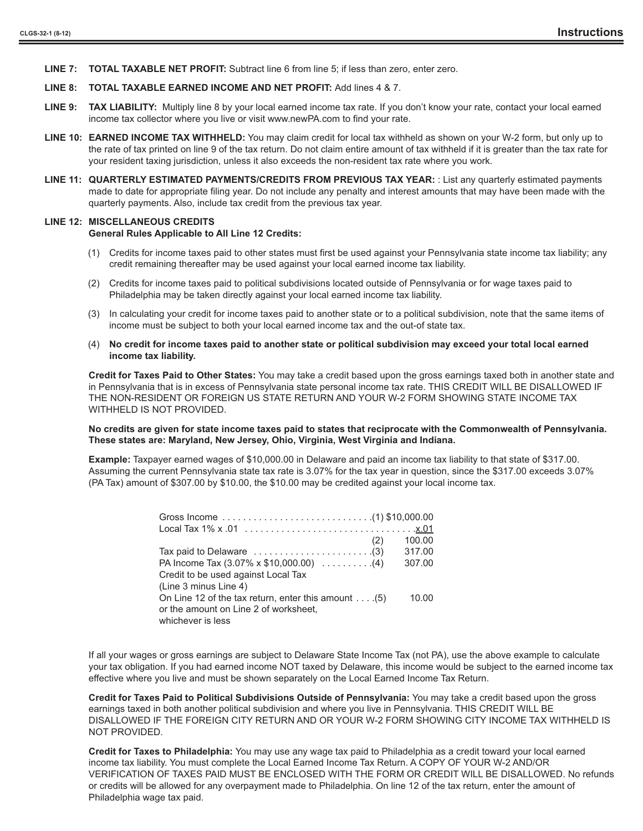**LINE 7: TOTAL TAXABLE NET PROFIT:** Subtract line 6 from line 5; if less than zero, enter zero.

#### **LINE 8: TOTAL TAXABLE EARNED INCOME AND NET PROFIT:** Add lines 4 & 7.

- **LINE 9: TAX LIABILITY:** Multiply line 8 by your local earned income tax rate. If you don't know your rate, contact your local earned income tax collector where you live or visit www.newPA.com to find your rate.
- **LINE 10: EARNED INCOME TAX WITHHELD:** You may claim credit for local tax withheld as shown on your W-2 form, but only up to the rate of tax printed on line 9 of the tax return. Do not claim entire amount of tax withheld if it is greater than the tax rate for your resident taxing jurisdiction, unless it also exceeds the non-resident tax rate where you work.
- **LINE 11: QUARTERLY ESTIMATED PAYMENTS/CREDITS FROM PREVIOUS TAX YEAR:** : List any quarterly estimated payments made to date for appropriate filing year. Do not include any penalty and interest amounts that may have been made with the quarterly payments. Also, include tax credit from the previous tax year.

### **LINE 12: MISCELLANEOUS CREDITS**

#### **General Rules Applicable to All Line 12 Credits:**

- (1) Credits for income taxes paid to other states must first be used against your Pennsylvania state income tax liability; any credit remaining thereafter may be used against your local earned income tax liability.
- (2) Credits for income taxes paid to political subdivisions located outside of Pennsylvania or for wage taxes paid to Philadelphia may be taken directly against your local earned income tax liability.
- (3) In calculating your credit for income taxes paid to another state or to a political subdivision, note that the same items of income must be subject to both your local earned income tax and the out-of state tax.
- (4) **No credit for income taxes paid to another state or political subdivision may exceed your total local earned income tax liability.**

**Credit for Taxes Paid to Other States:** You may take a credit based upon the gross earnings taxed both in another state and in Pennsylvania that is in excess of Pennsylvania state personal income tax rate. THIS CREDIT WILL BE DISALLOWED IF THE NON-RESIDENT OR FOREIGN US STATE RETURN AND YOUR W-2 FORM SHOWING STATE INCOME TAX WITHHELD IS NOT PROVIDED.

#### **No credits are given for state income taxes paid to states that reciprocate with the Commonwealth of Pennsylvania. These states are: Maryland, New Jersey, Ohio, Virginia, West Virginia and Indiana.**

**Example:** Taxpayer earned wages of \$10,000.00 in Delaware and paid an income tax liability to that state of \$317.00. Assuming the current Pennsylvania state tax rate is 3.07% for the tax year in question, since the \$317.00 exceeds 3.07% (PA Tax) amount of \$307.00 by \$10.00, the \$10.00 may be credited against your local income tax.

| (2)                                                                       | 100.00 |
|---------------------------------------------------------------------------|--------|
| Tax paid to Delaware $\ldots \ldots \ldots \ldots \ldots \ldots \ldots$ . | 317.00 |
| PA Income Tax $(3.07\% \times \$10,000.00)$ (4)                           | 307.00 |
| Credit to be used against Local Tax                                       |        |
| (Line 3 minus Line 4)                                                     |        |
| On Line 12 of the tax return, enter this amount $\dots$ . (5)             | 10.00  |
| or the amount on Line 2 of worksheet,                                     |        |
| whichever is less                                                         |        |

If all your wages or gross earnings are subject to Delaware State Income Tax (not PA), use the above example to calculate your tax obligation. If you had earned income NOT taxed by Delaware, this income would be subject to the earned income tax effective where you live and must be shown separately on the Local Earned Income Tax Return.

**Credit for Taxes Paid to Political Subdivisions Outside of Pennsylvania:** You may take a credit based upon the gross earnings taxed in both another political subdivision and where you live in Pennsylvania. THIS CREDIT WILL BE DISALLOWED IF THE FOREIGN CITY RETURN AND OR YOUR W-2 FORM SHOWING CITY INCOME TAX WITHHELD IS NOT PROVIDED.

**Credit for Taxes to Philadelphia:** You may use any wage tax paid to Philadelphia as a credit toward your local earned income tax liability. You must complete the Local Earned Income Tax Return. A COPY OF YOUR W-2 AND/OR VERIFICATION OF TAXES PAID MUST BE ENCLOSED WITH THE FORM OR CREDIT WILL BE DISALLOWED. No refunds or credits will be allowed for any overpayment made to Philadelphia. On line 12 of the tax return, enter the amount of Philadelphia wage tax paid.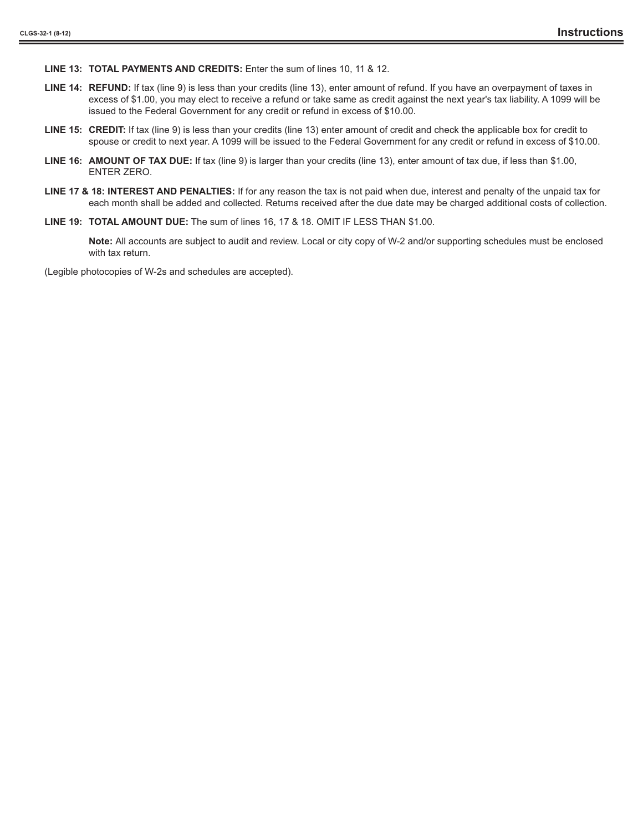**LINE 13: TOTAL PAYMENTS AND CREDITS:** Enter the sum of lines 10, 11 & 12.

- **LINE 14: REFUND:** If tax (line 9) is less than your credits (line 13), enter amount of refund. If you have an overpayment of taxes in excess of \$1.00, you may elect to receive a refund or take same as credit against the next year's tax liability. A 1099 will be issued to the Federal Government for any credit or refund in excess of \$10.00.
- **LINE 15: CREDIT:** If tax (line 9) is less than your credits (line 13) enter amount of credit and check the applicable box for credit to spouse or credit to next year. A 1099 will be issued to the Federal Government for any credit or refund in excess of \$10.00.
- **LINE 16: AMOUNT OF TAX DUE:** If tax (line 9) is larger than your credits (line 13), enter amount of tax due, if less than \$1.00, ENTER ZERO.
- **LINE 17 & 18: INTEREST AND PENALTIES:** If for any reason the tax is not paid when due, interest and penalty of the unpaid tax for each month shall be added and collected. Returns received after the due date may be charged additional costs of collection.
- **LINE 19: TOTAL AMOUNT DUE:** The sum of lines 16, 17 & 18. OMIT IF LESS THAN \$1.00.

**Note:** All accounts are subject to audit and review. Local or city copy of W-2 and/or supporting schedules must be enclosed with tax return.

(Legible photocopies of W-2s and schedules are accepted).